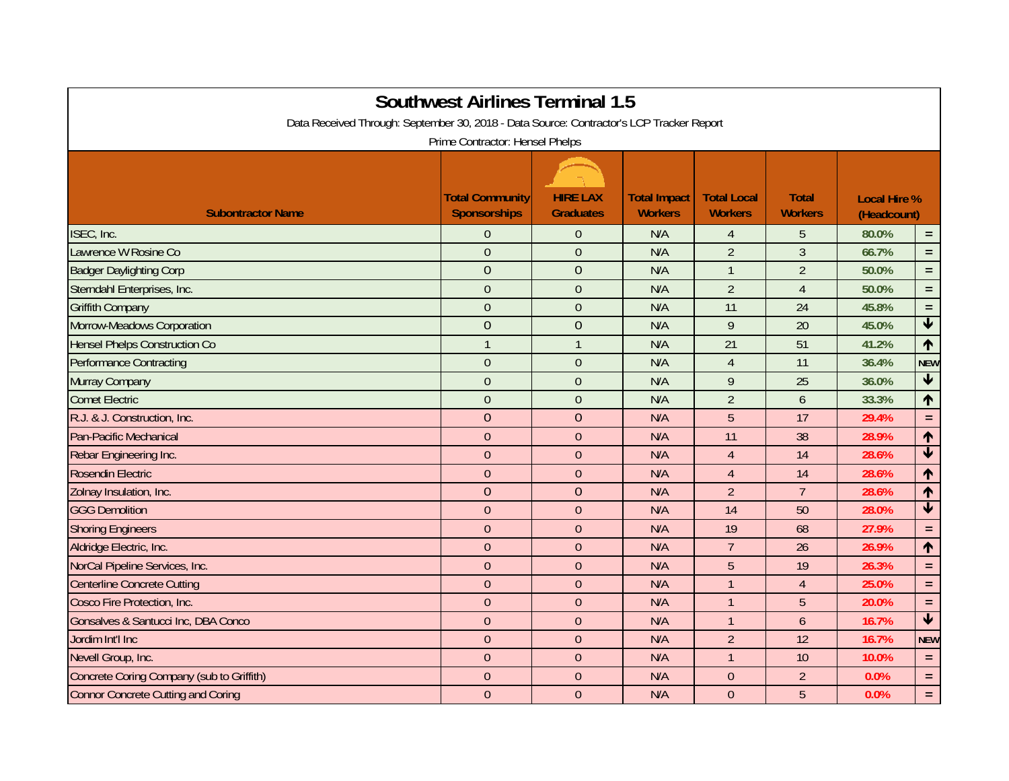| <b>Southwest Airlines Terminal 1.5</b><br>Data Received Through: September 30, 2018 - Data Source: Contractor's LCP Tracker Report<br>Prime Contractor: Hensel Phelps |                                               |                                     |                                       |                                      |                                |                                    |                            |  |  |  |  |
|-----------------------------------------------------------------------------------------------------------------------------------------------------------------------|-----------------------------------------------|-------------------------------------|---------------------------------------|--------------------------------------|--------------------------------|------------------------------------|----------------------------|--|--|--|--|
| <b>Subontractor Name</b>                                                                                                                                              | <b>Total Community</b><br><b>Sponsorships</b> | <b>HIRE LAX</b><br><b>Graduates</b> | <b>Total Impact</b><br><b>Workers</b> | <b>Total Local</b><br><b>Workers</b> | <b>Total</b><br><b>Workers</b> | <b>Local Hire %</b><br>(Headcount) |                            |  |  |  |  |
| ISEC, Inc.                                                                                                                                                            | $\Omega$                                      | $\theta$                            | N/A                                   | 4                                    | 5                              | 80.0%                              | $\equiv$                   |  |  |  |  |
| Lawrence W Rosine Co                                                                                                                                                  | $\overline{0}$                                | $\overline{0}$                      | N/A                                   | $\overline{2}$                       | $\overline{3}$                 | 66.7%                              | $\equiv$                   |  |  |  |  |
| <b>Badger Daylighting Corp</b>                                                                                                                                        | $\overline{0}$                                | $\overline{0}$                      | N/A                                   | $\mathbf{1}$                         | $\overline{2}$                 | 50.0%                              | $=$                        |  |  |  |  |
| Sterndahl Enterprises, Inc.                                                                                                                                           | $\overline{0}$                                | $\overline{0}$                      | N/A                                   | $\overline{2}$                       | $\overline{4}$                 | 50.0%                              | $=$ .                      |  |  |  |  |
| <b>Griffith Company</b>                                                                                                                                               | $\overline{0}$                                | $\overline{0}$                      | N/A                                   | 11                                   | 24                             | 45.8%                              | $=$ .                      |  |  |  |  |
| Morrow-Meadows Corporation                                                                                                                                            | $\overline{0}$                                | $\overline{0}$                      | N/A                                   | 9                                    | 20                             | 45.0%                              | $\blacklozenge$            |  |  |  |  |
| <b>Hensel Phelps Construction Co</b>                                                                                                                                  | $\mathbf{1}$                                  | $\overline{1}$                      | N/A                                   | 21                                   | 51                             | 41.2%                              | 个                          |  |  |  |  |
| <b>Performance Contracting</b>                                                                                                                                        | $\overline{0}$                                | $\overline{0}$                      | N/A                                   | $\overline{4}$                       | 11                             | 36.4%                              | <b>NEW</b>                 |  |  |  |  |
| Murray Company                                                                                                                                                        | $\overline{0}$                                | $\overline{0}$                      | N/A                                   | 9                                    | 25                             | 36.0%                              | $\blacklozenge$            |  |  |  |  |
| <b>Comet Electric</b>                                                                                                                                                 | $\overline{0}$                                | $\overline{0}$                      | N/A                                   | $\overline{2}$                       | 6                              | 33.3%                              | 个                          |  |  |  |  |
| R.J. & J. Construction, Inc.                                                                                                                                          | $\overline{0}$                                | $\overline{0}$                      | N/A                                   | 5                                    | 17                             | 29.4%                              | $=$ .                      |  |  |  |  |
| Pan-Pacific Mechanical                                                                                                                                                | $\overline{0}$                                | $\theta$                            | N/A                                   | 11                                   | 38                             | 28.9%                              | ↑                          |  |  |  |  |
| Rebar Engineering Inc.                                                                                                                                                | $\overline{0}$                                | $\overline{0}$                      | N/A                                   | $\overline{4}$                       | 14                             | 28.6%                              | $\overline{\textbf{t}}$    |  |  |  |  |
| <b>Rosendin Electric</b>                                                                                                                                              | $\overline{0}$                                | $\overline{0}$                      | N/A                                   | $\overline{4}$                       | 14                             | 28.6%                              | ↑                          |  |  |  |  |
| Zolnay Insulation, Inc.                                                                                                                                               | $\overline{0}$                                | $\overline{0}$                      | N/A                                   | $\overline{2}$                       | $\overline{7}$                 | 28.6%                              | 个                          |  |  |  |  |
| <b>GGG Demolition</b>                                                                                                                                                 | $\mathbf{0}$                                  | $\overline{0}$                      | N/A                                   | 14                                   | 50                             | 28.0%                              | $\overline{\blacklozenge}$ |  |  |  |  |
| <b>Shoring Engineers</b>                                                                                                                                              | $\overline{0}$                                | $\overline{0}$                      | N/A                                   | 19                                   | 68                             | 27.9%                              | $=$ .                      |  |  |  |  |
| Aldridge Electric, Inc.                                                                                                                                               | $\overline{0}$                                | $\overline{0}$                      | N/A                                   | $\overline{7}$                       | 26                             | 26.9%                              | 个                          |  |  |  |  |
| NorCal Pipeline Services, Inc.                                                                                                                                        | $\overline{0}$                                | $\overline{0}$                      | N/A                                   | 5                                    | 19                             | 26.3%                              | $=$ .                      |  |  |  |  |
| <b>Centerline Concrete Cutting</b>                                                                                                                                    | $\mathbf{0}$                                  | $\overline{0}$                      | N/A                                   | $\mathbf{1}$                         | $\overline{4}$                 | 25.0%                              | $=$ .                      |  |  |  |  |
| Cosco Fire Protection, Inc.                                                                                                                                           | $\overline{0}$                                | $\theta$                            | N/A                                   | $\overline{1}$                       | 5                              | 20.0%                              | $=$ .                      |  |  |  |  |
| Gonsalves & Santucci Inc, DBA Conco                                                                                                                                   | $\overline{0}$                                | $\theta$                            | N/A                                   | $\overline{1}$                       | $\mathfrak b$                  | 16.7%                              | $\overline{\textbf{t}}$    |  |  |  |  |
| Jordim Int'l Inc                                                                                                                                                      | $\overline{0}$                                | $\overline{0}$                      | N/A                                   | $\overline{2}$                       | 12                             | 16.7%                              | <b>NEW</b>                 |  |  |  |  |
| Nevell Group, Inc.                                                                                                                                                    | $\overline{0}$                                | $\overline{0}$                      | N/A                                   | $\overline{1}$                       | 10                             | 10.0%                              | $=$ .                      |  |  |  |  |
| Concrete Coring Company (sub to Griffith)                                                                                                                             | $\Omega$                                      | $\overline{0}$                      | N/A                                   | $\Omega$                             | $\overline{2}$                 | 0.0%                               | $=$ .                      |  |  |  |  |
| <b>Connor Concrete Cutting and Coring</b>                                                                                                                             | $\overline{0}$                                | $\theta$                            | N/A                                   | $\Omega$                             | 5                              | 0.0%                               | $\equiv$                   |  |  |  |  |
|                                                                                                                                                                       |                                               |                                     |                                       |                                      |                                |                                    |                            |  |  |  |  |